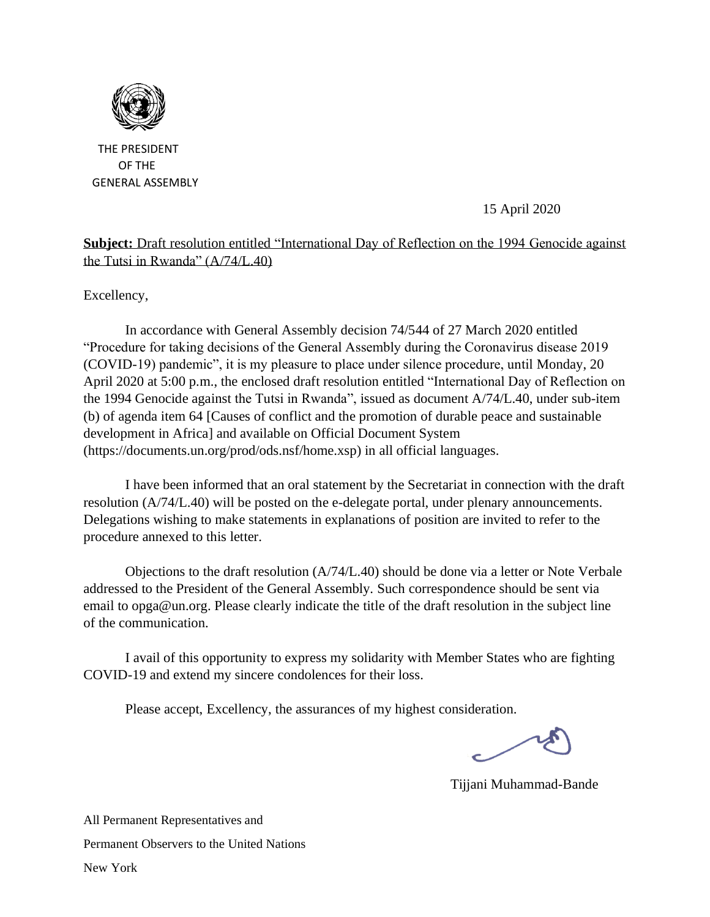

 THE PRESIDENT OF THE GENERAL ASSEMBLY

15 April 2020

## **Subject:** Draft resolution entitled "International Day of Reflec[tion on](https://creativecommons.org/licenses/by-sa/3.0/) the 1994 Genocide against the Tutsi in Rwanda" (A/74/L.40)

Excellency,

In accordance with General Assembly decision 74/544 of 27 March 2020 entitled "Procedure for taking decisions of the General Assembly during the Coronavirus disease 2019 (COVID-19) pandemic", it is my pleasure to place under silence procedure, until Monday, 20 April 2020 at 5:00 p.m., the enclosed draft resolution entitled "International Day of Reflection on the 1994 Genocide against the Tutsi in Rwanda", issued as document A/74/L.40, under sub-item (b) of agenda item 64 [Causes of conflict and the promotion of durable peace and sustainable development in Africa] and available on Official Document System (https://documents.un.org/prod/ods.nsf/home.xsp) in all official languages.

I have been informed that an oral statement by the Secretariat in connection with the draft resolution (A/74/L.40) will be posted on the e-delegate portal, under plenary announcements. Delegations wishing to make statements in explanations of position are invited to refer to the procedure annexed to this letter.

Objections to the draft resolution (A/74/L.40) should be done via a letter or Note Verbale addressed to the President of the General Assembly. Such correspondence should be sent via email to opga@un.org. Please clearly indicate the title of the draft resolution in the subject line of the communication.

I avail of this opportunity to express my solidarity with Member States who are fighting COVID-19 and extend my sincere condolences for their loss.

Please accept, Excellency, the assurances of my highest consideration.

Tijjani Muhammad-Bande

All Permanent Representatives and Permanent Observers to the United Nations New York